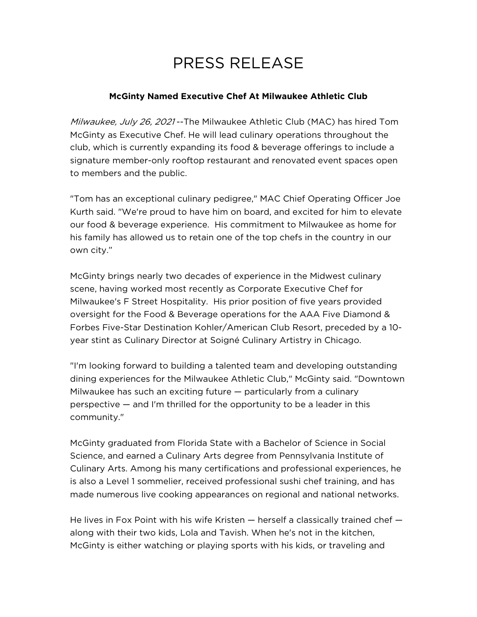## PRESS RELEASE

## **McGinty Named Executive Chef At Milwaukee Athletic Club**

Milwaukee, July 26, 2021 -- The Milwaukee Athletic Club (MAC) has hired Tom McGinty as Executive Chef. He will lead culinary operations throughout the club, which is currently expanding its food & beverage offerings to include a signature member-only rooftop restaurant and renovated event spaces open to members and the public.

"Tom has an exceptional culinary pedigree," MAC Chief Operating Officer Joe Kurth said. "We're proud to have him on board, and excited for him to elevate our food & beverage experience. His commitment to Milwaukee as home for his family has allowed us to retain one of the top chefs in the country in our own city."

McGinty brings nearly two decades of experience in the Midwest culinary scene, having worked most recently as Corporate Executive Chef for Milwaukee's F Street Hospitality. His prior position of five years provided oversight for the Food & Beverage operations for the AAA Five Diamond & Forbes Five-Star Destination Kohler/American Club Resort, preceded by a 10 year stint as Culinary Director at Soigné Culinary Artistry in Chicago.

"I'm looking forward to building a talented team and developing outstanding dining experiences for the Milwaukee Athletic Club," McGinty said. "Downtown Milwaukee has such an exciting future — particularly from a culinary perspective — and I'm thrilled for the opportunity to be a leader in this community."

McGinty graduated from Florida State with a Bachelor of Science in Social Science, and earned a Culinary Arts degree from Pennsylvania Institute of Culinary Arts. Among his many certifications and professional experiences, he is also a Level 1 sommelier, received professional sushi chef training, and has made numerous live cooking appearances on regional and national networks.

He lives in Fox Point with his wife Kristen — herself a classically trained chef along with their two kids, Lola and Tavish. When he's not in the kitchen, McGinty is either watching or playing sports with his kids, or traveling and